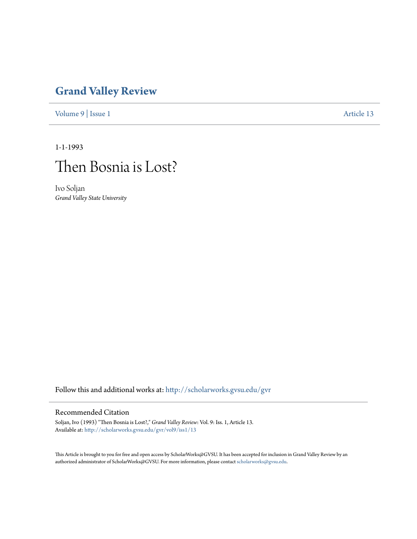## **[Grand Valley Review](http://scholarworks.gvsu.edu/gvr?utm_source=scholarworks.gvsu.edu%2Fgvr%2Fvol9%2Fiss1%2F13&utm_medium=PDF&utm_campaign=PDFCoverPages)**

[Volume 9](http://scholarworks.gvsu.edu/gvr/vol9?utm_source=scholarworks.gvsu.edu%2Fgvr%2Fvol9%2Fiss1%2F13&utm_medium=PDF&utm_campaign=PDFCoverPages) | [Issue 1](http://scholarworks.gvsu.edu/gvr/vol9/iss1?utm_source=scholarworks.gvsu.edu%2Fgvr%2Fvol9%2Fiss1%2F13&utm_medium=PDF&utm_campaign=PDFCoverPages) [Article 13](http://scholarworks.gvsu.edu/gvr/vol9/iss1/13?utm_source=scholarworks.gvsu.edu%2Fgvr%2Fvol9%2Fiss1%2F13&utm_medium=PDF&utm_campaign=PDFCoverPages)

1-1-1993



Ivo Soljan *Grand Valley State University*

Follow this and additional works at: [http://scholarworks.gvsu.edu/gvr](http://scholarworks.gvsu.edu/gvr?utm_source=scholarworks.gvsu.edu%2Fgvr%2Fvol9%2Fiss1%2F13&utm_medium=PDF&utm_campaign=PDFCoverPages)

## Recommended Citation

Soljan, Ivo (1993) "Then Bosnia is Lost?," *Grand Valley Review*: Vol. 9: Iss. 1, Article 13. Available at: [http://scholarworks.gvsu.edu/gvr/vol9/iss1/13](http://scholarworks.gvsu.edu/gvr/vol9/iss1/13?utm_source=scholarworks.gvsu.edu%2Fgvr%2Fvol9%2Fiss1%2F13&utm_medium=PDF&utm_campaign=PDFCoverPages)

This Article is brought to you for free and open access by ScholarWorks@GVSU. It has been accepted for inclusion in Grand Valley Review by an authorized administrator of ScholarWorks@GVSU. For more information, please contact [scholarworks@gvsu.edu.](mailto:scholarworks@gvsu.edu)